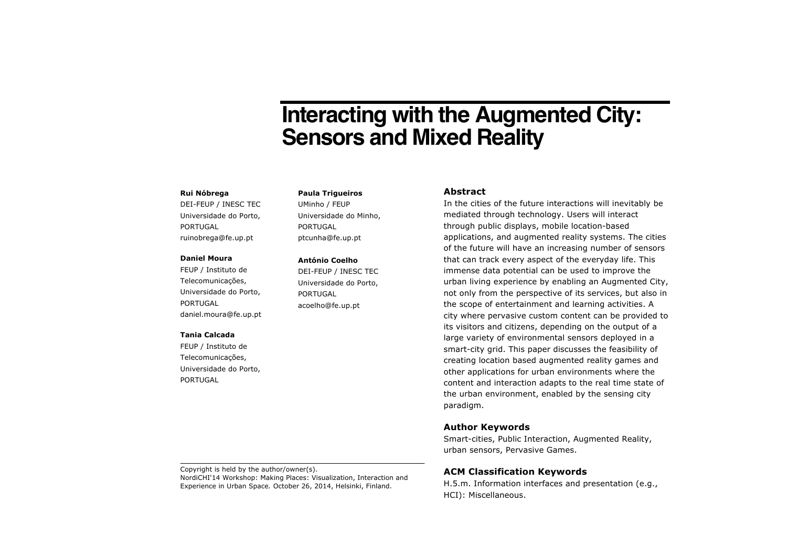# **Interacting with the Augmented City: Sensors and Mixed Reality**

#### **Rui Nóbrega**

DEI-FEUP / INESC TEC Universidade do Porto, PORTUGAL ruinobrega@fe.up.pt

#### **Daniel Moura**

FEUP / Instituto de Telecomunicações, Universidade do Porto, PORTUGAL daniel.moura@fe.up.pt

#### **Tania Calcada**

FEUP / Instituto de Telecomunicações, Universidade do Porto, PORTUGAL

**Paula Trigueiros** UMinho / FEUP Universidade do Minho, PORTUGAL ptcunha@fe.up.pt

#### **António Coelho**

DEI-FEUP / INESC TEC Universidade do Porto, PORTUGAL acoelho@fe.up.pt

## **Abstract**

In the cities of the future interactions will inevitably be mediated through technology. Users will interact through public displays, mobile location-based applications, and augmented reality systems. The cities of the future will have an increasing number of sensors that can track every aspect of the everyday life. This immense data potential can be used to improve the urban living experience by enabling an Augmented City, not only from the perspective of its services, but also in the scope of entertainment and learning activities. A city where pervasive custom content can be provided to its visitors and citizens, depending on the output of a large variety of environmental sensors deployed in a smart-city grid. This paper discusses the feasibility of creating location based augmented reality games and other applications for urban environments where the content and interaction adapts to the real time state of the urban environment, enabled by the sensing city paradigm.

## **Author Keywords**

Smart-cities, Public Interaction, Augmented Reality, urban sensors, Pervasive Games.

# **ACM Classification Keywords**

H.5.m. Information interfaces and presentation (e.g., HCI): Miscellaneous.

Copyright is held by the author/owner(s). NordiCHI'14 Workshop: Making Places: Visualization, Interaction and Experience in Urban Space*.* October 26, 2014, Helsinki, Finland.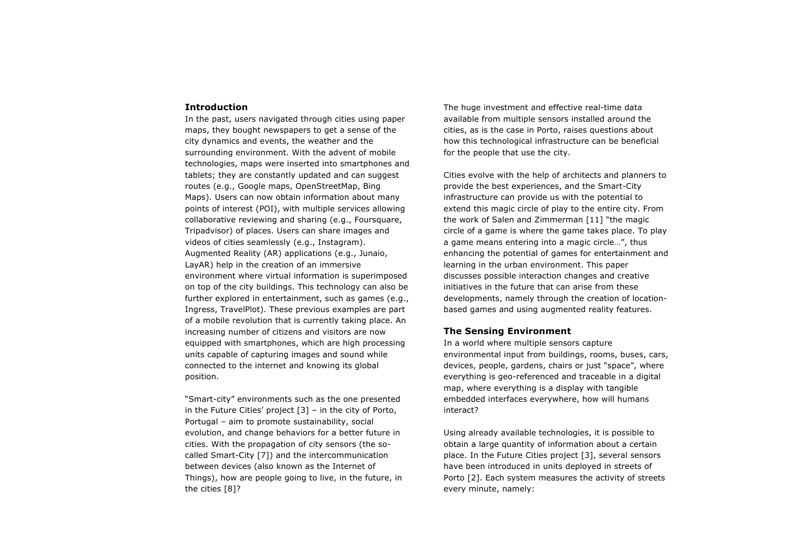## **Introduction**

In the past, users navigated through cities using paper maps, they bought newspapers to get a sense of the city dynamics and events, the weather and the surrounding environment. With the advent of mobile technologies, maps were inserted into smartphones and tablets; they are constantly updated and can suggest routes (e.g., Google maps, OpenStreetMap, Bing Maps). Users can now obtain information about many points of interest (POI), with multiple services allowing collaborative reviewing and sharing (e.g., Foursquare, Tripadvisor) of places. Users can share images and videos of cities seamlessly (e.g., Instagram). Augmented Reality (AR) applications (e.g., Junaio, LayAR) help in the creation of an immersive environment where virtual information is superimposed on top of the city buildings. This technology can also be further explored in entertainment, such as games (e.g., Ingress, TravelPlot). These previous examples are part of a mobile revolution that is currently taking place. An increasing number of citizens and visitors are now equipped with smartphones, which are high processing units capable of capturing images and sound while connected to the internet and knowing its global position.

"Smart-city" environments such as the one presented in the Future Cities' project [3] – in the city of Porto, Portugal – aim to promote sustainability, social evolution, and change behaviors for a better future in cities. With the propagation of city sensors (the socalled Smart-City [7]) and the intercommunication between devices (also known as the Internet of Things), how are people going to live, in the future, in the cities [8]?

The huge investment and effective real-time data available from multiple sensors installed around the cities, as is the case in Porto, raises questions about how this technological infrastructure can be beneficial for the people that use the city.

Cities evolve with the help of architects and planners to provide the best experiences, and the Smart-City infrastructure can provide us with the potential to extend this magic circle of play to the entire city. From the work of Salen and Zimmerman [11] "the magic circle of a game is where the game takes place. To play a game means entering into a magic circle…", thus enhancing the potential of games for entertainment and learning in the urban environment. This paper discusses possible interaction changes and creative initiatives in the future that can arise from these developments, namely through the creation of locationbased games and using augmented reality features.

#### **The Sensing Environment**

In a world where multiple sensors capture environmental input from buildings, rooms, buses, cars, devices, people, gardens, chairs or just "space", where everything is geo-referenced and traceable in a digital map, where everything is a display with tangible embedded interfaces everywhere, how will humans interact?

Using already available technologies, it is possible to obtain a large quantity of information about a certain place. In the Future Cities project [3], several sensors have been introduced in units deployed in streets of Porto [2]. Each system measures the activity of streets every minute, namely: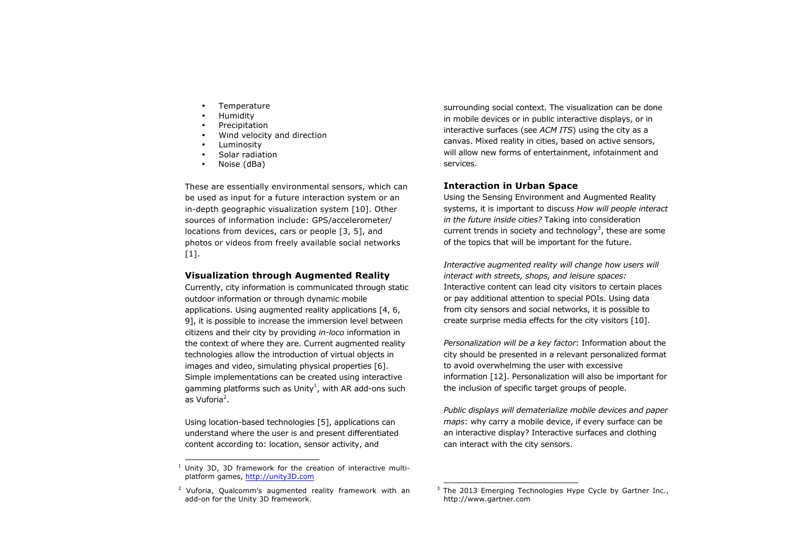- **Temperature**
- Humidity
- **Precipitation**
- Wind velocity and direction
- **Luminosity**
- Solar radiation
- Noise (dBa)

These are essentially environmental sensors, which can be used as input for a future interaction system or an in-depth geographic visualization system [10]. Other sources of information include: GPS/accelerometer/ locations from devices, cars or people [3, 5], and photos or videos from freely available social networks  $[1]$ .

# **Visualization through Augmented Reality**

Currently, city information is communicated through static outdoor information or through dynamic mobile applications. Using augmented reality applications [4, 6, 9], it is possible to increase the immersion level between citizens and their city by providing *in-loco* information in the context of where they are. Current augmented reality technologies allow the introduction of virtual objects in images and video, simulating physical properties [6]. Simple implementations can be created using interactive gamming platforms such as Unity<sup>1</sup>, with AR add-ons such as Vuforia<sup>2</sup>.

Using location-based technologies [5], applications can understand where the user is and present differentiated content according to: location, sensor activity, and

surrounding social context. The visualization can be done in mobile devices or in public interactive displays, or in interactive surfaces (see *ACM ITS*) using the city as a canvas. Mixed reality in cities, based on active sensors, will allow new forms of entertainment, infotainment and services.

# **Interaction in Urban Space**

Using the Sensing Environment and Augmented Reality systems, it is important to discuss *How will people interact in the future inside cities?* Taking into consideration current trends in society and technology<sup>3</sup>, these are some of the topics that will be important for the future.

*Interactive augmented reality will change how users will interact with streets, shops, and leisure spaces:*  Interactive content can lead city visitors to certain places or pay additional attention to special POIs. Using data from city sensors and social networks, it is possible to create surprise media effects for the city visitors [10].

*Personalization will be a key factor*: Information about the city should be presented in a relevant personalized format to avoid overwhelming the user with excessive information [12]. Personalization will also be important for the inclusion of specific target groups of people.

*Public displays will dematerialize mobile devices and paper maps*: why carry a mobile device, if every surface can be an interactive display? Interactive surfaces and clothing can interact with the city sensors.

 $1$  Unity 3D, 3D framework for the creation of interactive multiplatform games, http://unity3D.com

 $2$  Vuforia, Qualcomm's augmented reality framework with an add-on for the Unity 3D framework.

 $3$  The 2013 Emerging Technologies Hype Cycle by Gartner Inc., http://www.gartner.com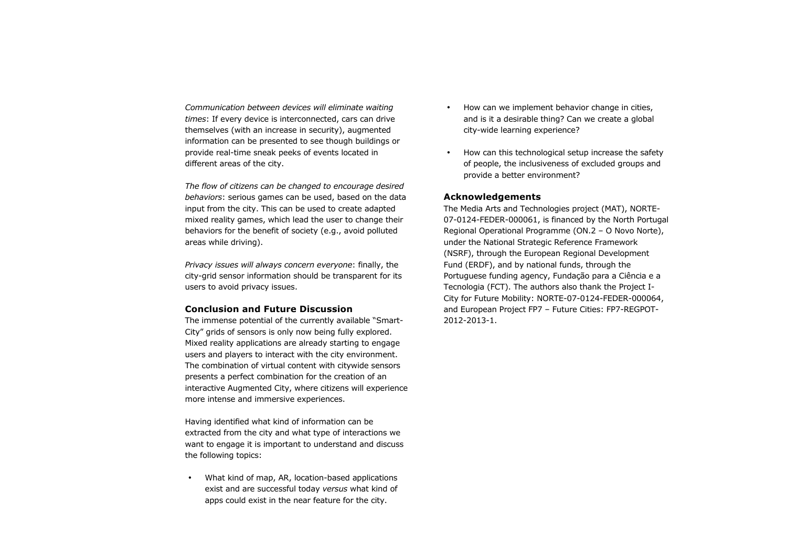*Communication between devices will eliminate waiting times*: If every device is interconnected, cars can drive themselves (with an increase in security), augmented information can be presented to see though buildings or provide real-time sneak peeks of events located in different areas of the city.

*The flow of citizens can be changed to encourage desired behaviors*: serious games can be used, based on the data input from the city. This can be used to create adapted mixed reality games, which lead the user to change their behaviors for the benefit of society (e.g., avoid polluted areas while driving).

*Privacy issues will always concern everyone*: finally, the city-grid sensor information should be transparent for its users to avoid privacy issues.

#### **Conclusion and Future Discussion**

The immense potential of the currently available "Smart-City" grids of sensors is only now being fully explored. Mixed reality applications are already starting to engage users and players to interact with the city environment. The combination of virtual content with citywide sensors presents a perfect combination for the creation of an interactive Augmented City, where citizens will experience more intense and immersive experiences.

Having identified what kind of information can be extracted from the city and what type of interactions we want to engage it is important to understand and discuss the following topics:

• What kind of map, AR, location-based applications exist and are successful today *versus* what kind of apps could exist in the near feature for the city.

- How can we implement behavior change in cities, and is it a desirable thing? Can we create a global city-wide learning experience?
- How can this technological setup increase the safety of people, the inclusiveness of excluded groups and provide a better environment?

# **Acknowledgements**

The Media Arts and Technologies project (MAT), NORTE-07-0124-FEDER-000061, is financed by the North Portugal Regional Operational Programme (ON.2 – O Novo Norte), under the National Strategic Reference Framework (NSRF), through the European Regional Development Fund (ERDF), and by national funds, through the Portuguese funding agency, Fundação para a Ciência e a Tecnologia (FCT). The authors also thank the Project I-City for Future Mobility: NORTE-07-0124-FEDER-000064, and European Project FP7 – Future Cities: FP7-REGPOT-2012-2013-1.